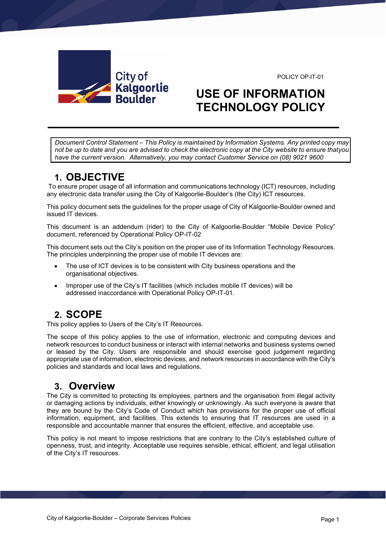

#### POLICY OP-IT-01

# **USE OF INFORMATION TECHNOLOGY POLICY**

*Document Control Statement – This Policy is maintained by Information Systems. Any printed copy may not be up to date and you are advised to check the electronic copy at the City website to ensure that you have the current version. Alternatively, you may contact Customer Service on (08) 9021 9600*

# **1. OBJECTIVE**

To ensure proper usage of all information and communications technology (ICT) resources, including any electronic data transfer using the City of Kalgoorlie-Boulder's (the City) ICT resources.

This policy document sets the guidelines for the proper usage of City of Kalgoorlie-Boulder owned and issued IT devices.

This document is an addendum (rider) to the City of Kalgoorlie-Boulder "Mobile Device Policy" document, referenced by Operational Policy OP-IT-02

This document sets out the City's position on the proper use of its Information Technology Resources. The principles underpinning the proper use of mobile IT devices are:

- The use of ICT devices is to be consistent with City business operations and the organisational objectives.
- Improper use of the City's IT facilities (which includes mobile IT devices) will be addressed inaccordance with Operational Policy OP-IT-01.

# **2. SCOPE**

This policy applies to Users of the City's IT Resources.

The scope of this policy applies to the use of information, electronic and computing devices and network resources to conduct business or interact with internal networks and business systems owned or leased by the City. Users are responsible and should exercise good judgement regarding appropriate use of information, electronic devices, and network resources in accordance with the City's policies and standards and local laws and regulations.

### **3. Overview**

The City is committed to protecting its employees, partners and the organisation from illegal activity or damaging actions by individuals, either knowingly or unknowingly. As such everyone is aware that they are bound by the City's Code of Conduct which has provisions for the proper use of official information, equipment, and facilities. This extends to ensuring that IT resources are used in a responsible and accountable manner that ensures the efficient, effective, and acceptable use.

This policy is not meant to impose restrictions that are contrary to the City's established culture of openness, trust, and integrity. Acceptable use requires sensible, ethical, efficient, and legal utilisation of the City's IT resources.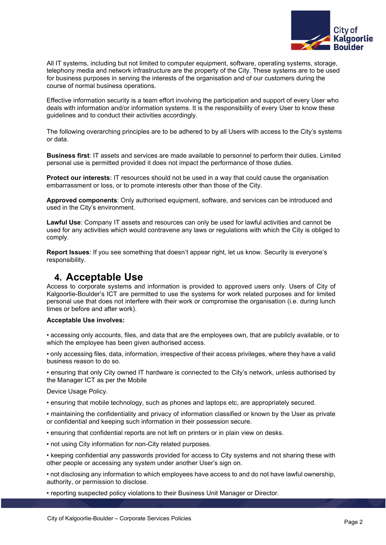

All IT systems, including but not limited to computer equipment, software, operating systems, storage, telephony media and network infrastructure are the property of the City. These systems are to be used for business purposes in serving the interests of the organisation and of our customers during the course of normal business operations.

Effective information security is a team effort involving the participation and support of every User who deals with information and/or information systems. It is the responsibility of every User to know these guidelines and to conduct their activities accordingly.

The following overarching principles are to be adhered to by all Users with access to the City's systems or data.

**Business first**: IT assets and services are made available to personnel to perform their duties. Limited personal use is permitted provided it does not impact the performance of those duties.

**Protect our interests**: IT resources should not be used in a way that could cause the organisation embarrassment or loss, or to promote interests other than those of the City.

**Approved components**: Only authorised equipment, software, and services can be introduced and used in the City's environment.

**Lawful Use**: Company IT assets and resources can only be used for lawful activities and cannot be used for any activities which would contravene any laws or regulations with which the City is obliged to comply.

**Report Issues**: If you see something that doesn't appear right, let us know. Security is everyone's responsibility.

### **4. Acceptable Use**

Access to corporate systems and information is provided to approved users only. Users of City of Kalgoorlie-Boulder's ICT are permitted to use the systems for work related purposes and for limited personal use that does not interfere with their work or compromise the organisation (i.e. during lunch times or before and after work).

### **Acceptable Use involves:**

• accessing only accounts, files, and data that are the employees own, that are publicly available, or to which the employee has been given authorised access.

• only accessing files, data, information, irrespective of their access privileges, where they have a valid business reason to do so.

• ensuring that only City owned IT hardware is connected to the City's network, unless authorised by the Manager ICT as per the Mobile

Device Usage Policy.

• ensuring that mobile technology, such as phones and laptops etc, are appropriately secured.

• maintaining the confidentiality and privacy of information classified or known by the User as private or confidential and keeping such information in their possession secure.

• ensuring that confidential reports are not left on printers or in plain view on desks.

• not using City information for non-City related purposes.

• keeping confidential any passwords provided for access to City systems and not sharing these with other people or accessing any system under another User's sign on.

• not disclosing any information to which employees have access to and do not have lawful ownership, authority, or permission to disclose.

• reporting suspected policy violations to their Business Unit Manager or Director.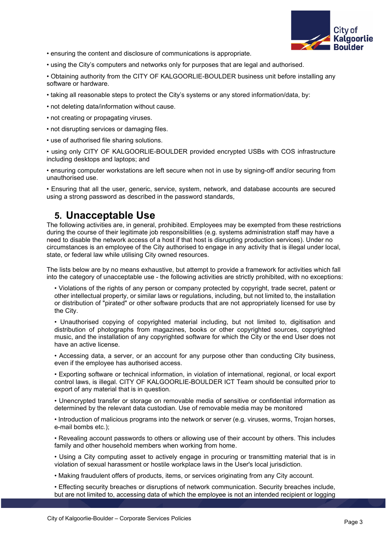

• ensuring the content and disclosure of communications is appropriate.

• using the City's computers and networks only for purposes that are legal and authorised.

• Obtaining authority from the CITY OF KALGOORLIE-BOULDER business unit before installing any software or hardware.

- taking all reasonable steps to protect the City's systems or any stored information/data, by:
- not deleting data/information without cause.
- not creating or propagating viruses.
- not disrupting services or damaging files.
- use of authorised file sharing solutions.

• using only CITY OF KALGOORLIE-BOULDER provided encrypted USBs with COS infrastructure including desktops and laptops; and

• ensuring computer workstations are left secure when not in use by signing-off and/or securing from unauthorised use.

• Ensuring that all the user, generic, service, system, network, and database accounts are secured using a strong password as described in the password standards,

### **5. Unacceptable Use**

The following activities are, in general, prohibited. Employees may be exempted from these restrictions during the course of their legitimate job responsibilities (e.g. systems administration staff may have a need to disable the network access of a host if that host is disrupting production services). Under no circumstances is an employee of the City authorised to engage in any activity that is illegal under local, state, or federal law while utilising City owned resources.

The lists below are by no means exhaustive, but attempt to provide a framework for activities which fall into the category of unacceptable use - the following activities are strictly prohibited, with no exceptions:

• Violations of the rights of any person or company protected by copyright, trade secret, patent or other intellectual property, or similar laws or regulations, including, but not limited to, the installation or distribution of "pirated" or other software products that are not appropriately licensed for use by the City.

• Unauthorised copying of copyrighted material including, but not limited to, digitisation and distribution of photographs from magazines, books or other copyrighted sources, copyrighted music, and the installation of any copyrighted software for which the City or the end User does not have an active license.

• Accessing data, a server, or an account for any purpose other than conducting City business, even if the employee has authorised access.

• Exporting software or technical information, in violation of international, regional, or local export control laws, is illegal. CITY OF KALGOORLIE-BOULDER ICT Team should be consulted prior to export of any material that is in question.

• Unencrypted transfer or storage on removable media of sensitive or confidential information as determined by the relevant data custodian. Use of removable media may be monitored

• Introduction of malicious programs into the network or server (e.g. viruses, worms, Trojan horses, e-mail bombs etc.);

• Revealing account passwords to others or allowing use of their account by others. This includes family and other household members when working from home.

• Using a City computing asset to actively engage in procuring or transmitting material that is in violation of sexual harassment or hostile workplace laws in the User's local jurisdiction.

• Making fraudulent offers of products, items, or services originating from any City account.

• Effecting security breaches or disruptions of network communication. Security breaches include, but are not limited to, accessing data of which the employee is not an intended recipient or logging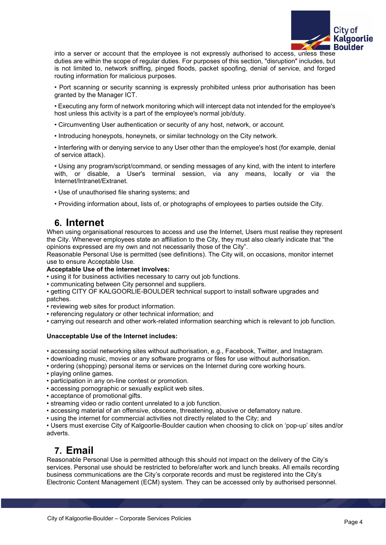

into a server or account that the employee is not expressly authorised to access, unless these duties are within the scope of regular duties. For purposes of this section, "disruption" includes, but is not limited to, network sniffing, pinged floods, packet spoofing, denial of service, and forged routing information for malicious purposes.

• Port scanning or security scanning is expressly prohibited unless prior authorisation has been granted by the Manager ICT.

• Executing any form of network monitoring which will intercept data not intended for the employee's host unless this activity is a part of the employee's normal job/duty.

- Circumventing User authentication or security of any host, network, or account.
- Introducing honeypots, honeynets, or similar technology on the City network.

• Interfering with or denying service to any User other than the employee's host (for example, denial of service attack).

• Using any program/script/command, or sending messages of any kind, with the intent to interfere with, or disable, a User's terminal session, via any means, locally or via the Internet/Intranet/Extranet.

- Use of unauthorised file sharing systems; and
- Providing information about, lists of, or photographs of employees to parties outside the City.

### **6. Internet**

When using organisational resources to access and use the Internet, Users must realise they represent the City. Whenever employees state an affiliation to the City, they must also clearly indicate that "the opinions expressed are my own and not necessarily those of the City".

Reasonable Personal Use is permitted (see definitions). The City will, on occasions, monitor internet use to ensure Acceptable Use.

#### **Acceptable Use of the internet involves:**

- using it for business activities necessary to carry out job functions.
- communicating between City personnel and suppliers.

• getting CITY OF KALGOORLIE-BOULDER technical support to install software upgrades and patches.

- reviewing web sites for product information.
- referencing regulatory or other technical information; and
- carrying out research and other work-related information searching which is relevant to job function.

#### **Unacceptable Use of the Internet includes:**

- accessing social networking sites without authorisation, e.g., Facebook, Twitter, and Instagram.
- downloading music, movies or any software programs or files for use without authorisation.
- ordering (shopping) personal items or services on the Internet during core working hours.
- playing online games.
- participation in any on-line contest or promotion.
- accessing pornographic or sexually explicit web sites.
- acceptance of promotional gifts.
- streaming video or radio content unrelated to a job function.
- accessing material of an offensive, obscene, threatening, abusive or defamatory nature.
- using the internet for commercial activities not directly related to the City; and

• Users must exercise City of Kalgoorlie-Boulder caution when choosing to click on 'pop-up' sites and/or adverts.

### **7. Email**

Reasonable Personal Use is permitted although this should not impact on the delivery of the City's services. Personal use should be restricted to before/after work and lunch breaks. All emails recording business communications are the City's corporate records and must be registered into the City's Electronic Content Management (ECM) system. They can be accessed only by authorised personnel.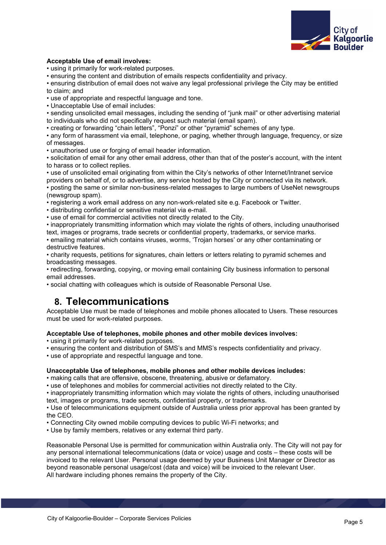

### **Acceptable Use of email involves:**

• using it primarily for work-related purposes.

• ensuring the content and distribution of emails respects confidentiality and privacy.

• ensuring distribution of email does not waive any legal professional privilege the City may be entitled to claim; and

• use of appropriate and respectful language and tone.

• Unacceptable Use of email includes:

• sending unsolicited email messages, including the sending of "junk mail" or other advertising material to individuals who did not specifically request such material (email spam).

• creating or forwarding "chain letters", "Ponzi" or other "pyramid" schemes of any type.

• any form of harassment via email, telephone, or paging, whether through language, frequency, or size of messages.

• unauthorised use or forging of email header information.

• solicitation of email for any other email address, other than that of the poster's account, with the intent to harass or to collect replies.

• use of unsolicited email originating from within the City's networks of other Internet/Intranet service providers on behalf of, or to advertise, any service hosted by the City or connected via its network. • posting the same or similar non-business-related messages to large numbers of UseNet newsgroups (newsgroup spam).

• registering a work email address on any non-work-related site e.g. Facebook or Twitter.

• distributing confidential or sensitive material via e-mail.

• use of email for commercial activities not directly related to the City.

• inappropriately transmitting information which may violate the rights of others, including unauthorised text, images or programs, trade secrets or confidential property, trademarks, or service marks.

• emailing material which contains viruses, worms, 'Trojan horses' or any other contaminating or destructive features.

• charity requests, petitions for signatures, chain letters or letters relating to pyramid schemes and broadcasting messages.

• redirecting, forwarding, copying, or moving email containing City business information to personal email addresses.

• social chatting with colleagues which is outside of Reasonable Personal Use.

### **8. Telecommunications**

Acceptable Use must be made of telephones and mobile phones allocated to Users. These resources must be used for work-related purposes.

#### **Acceptable Use of telephones, mobile phones and other mobile devices involves:**

• using it primarily for work-related purposes.

• ensuring the content and distribution of SMS's and MMS's respects confidentiality and privacy.

• use of appropriate and respectful language and tone.

#### **Unacceptable Use of telephones, mobile phones and other mobile devices includes:**

• making calls that are offensive, obscene, threatening, abusive or defamatory.

• use of telephones and mobiles for commercial activities not directly related to the City.

• inappropriately transmitting information which may violate the rights of others, including unauthorised text, images or programs, trade secrets, confidential property, or trademarks.

• Use of telecommunications equipment outside of Australia unless prior approval has been granted by the CEO.

• Connecting City owned mobile computing devices to public Wi-Fi networks; and

• Use by family members, relatives or any external third party.

Reasonable Personal Use is permitted for communication within Australia only. The City will not pay for any personal international telecommunications (data or voice) usage and costs – these costs will be invoiced to the relevant User. Personal usage deemed by your Business Unit Manager or Director as beyond reasonable personal usage/cost (data and voice) will be invoiced to the relevant User. All hardware including phones remains the property of the City.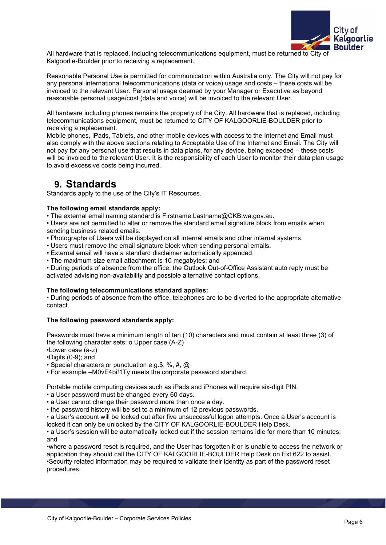

All hardware that is replaced, including telecommunications equipment, must be returned to City of Kalgoorlie-Boulder prior to receiving a replacement.

Reasonable Personal Use is permitted for communication within Australia only. The City will not pay for any personal international telecommunications (data or voice) usage and costs – these costs will be invoiced to the relevant User. Personal usage deemed by your Manager or Executive as beyond reasonable personal usage/cost (data and voice) will be invoiced to the relevant User.

All hardware including phones remains the property of the City. All hardware that is replaced, including telecommunications equipment, must be returned to CITY OF KALGOORLIE-BOULDER prior to receiving a replacement.

Mobile phones, iPads, Tablets, and other mobile devices with access to the Internet and Email must also comply with the above sections relating to Acceptable Use of the Internet and Email. The City will not pay for any personal use that results in data plans, for any device, being exceeded – these costs will be invoiced to the relevant User. It is the responsibility of each User to monitor their data plan usage to avoid excessive costs being incurred.

### **9. Standards**

Standards apply to the use of the City's IT Resources.

### **The following email standards apply:**

• The external email naming standard is Firstname.Lastname@CKB.wa.gov.au.

• Users are not permitted to alter or remove the standard email signature block from emails when sending business related emails.

• Photographs of Users will be displayed on all internal emails and other internal systems.

• Users must remove the email signature block when sending personal emails.

- External email will have a standard disclaimer automatically appended.
- The maximum size email attachment is 10 megabytes; and

• During periods of absence from the office, the Outlook Out-of-Office Assistant auto reply must be activated advising non-availability and possible alternative contact options.

### **The following telecommunications standard applies:**

• During periods of absence from the office, telephones are to be diverted to the appropriate alternative contact.

### **The following password standards apply:**

Passwords must have a minimum length of ten (10) characters and must contain at least three (3) of the following character sets: o Upper case (A-Z)

•Lower case (a-z)

•Digits (0-9); and

• Special characters or punctuation e.g.\$, %, #, @

• For example –M0vE4bi!1Ty meets the corporate password standard.

Portable mobile computing devices such as iPads and iPhones will require six-digit PIN.

• a User password must be changed every 60 days.

- a User cannot change their password more than once a day.
- the password history will be set to a minimum of 12 previous passwords.

• a User's account will be locked out after five unsuccessful logon attempts. Once a User's account is locked it can only be unlocked by the CITY OF KALGOORLIE-BOULDER Help Desk.

• a User's session will be automatically locked out if the session remains idle for more than 10 minutes; and

•where a password reset is required, and the User has forgotten it or is unable to access the network or application they should call the CITY OF KALGOORLIE-BOULDER Help Desk on Ext 622 to assist. •Security related information may be required to validate their identity as part of the password reset procedures.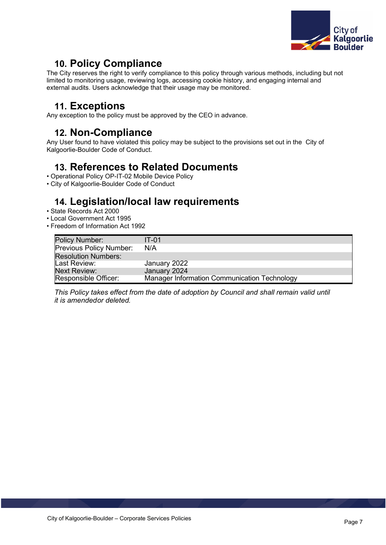

# **10. Policy Compliance**

The City reserves the right to verify compliance to this policy through various methods, including but not limited to monitoring usage, reviewing logs, accessing cookie history, and engaging internal and external audits. Users acknowledge that their usage may be monitored.

## **11. Exceptions**

Any exception to the policy must be approved by the CEO in advance.

### **12. Non-Compliance**

Any User found to have violated this policy may be subject to the provisions set out in the City of Kalgoorlie-Boulder Code of Conduct.

# **13. References to Related Documents**

- Operational Policy OP-IT-02 Mobile Device Policy
- City of Kalgoorlie-Boulder Code of Conduct

# **14. Legislation/local law requirements**

- State Records Act 2000
- Local Government Act 1995
- Freedom of Information Act 1992

| <b>Policy Number:</b>          | $IT-01$                                      |
|--------------------------------|----------------------------------------------|
| <b>Previous Policy Number:</b> | N/A                                          |
| <b>Resolution Numbers:</b>     |                                              |
| Last Review:                   | January 2022                                 |
| <b>Next Review:</b>            | January 2024                                 |
| Responsible Officer:           | Manager Information Communication Technology |

*This Policy takes effect from the date of adoption by Council and shall remain valid until it is amendedor deleted.*